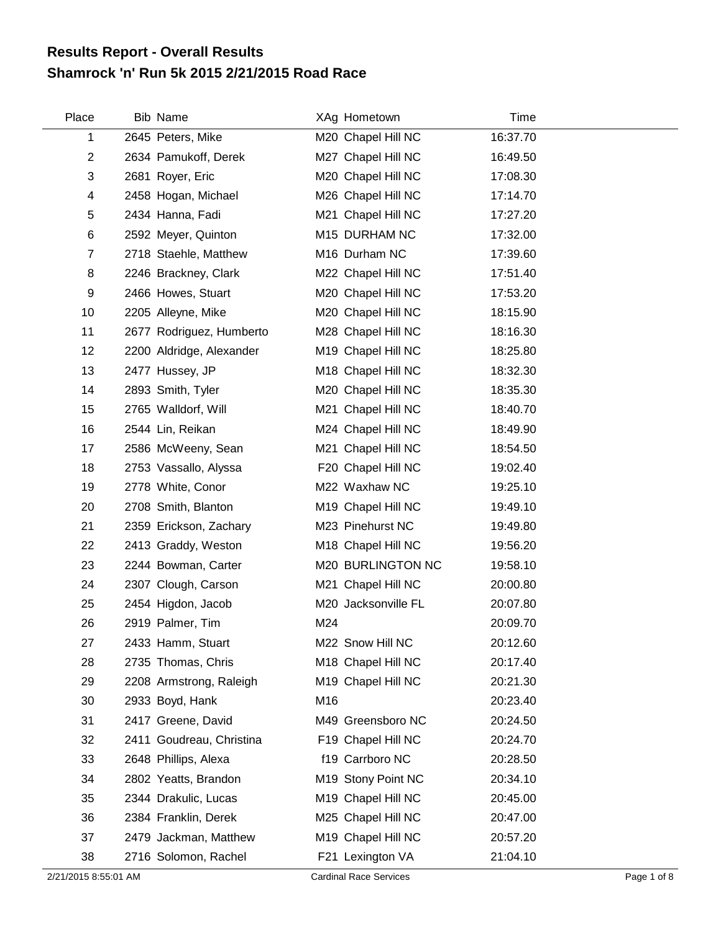## **Shamrock 'n' Run 5k 2015 2/21/2015 Road Race Results Report - Overall Results**

| Place          | <b>Bib Name</b>          |     | XAg Hometown        | Time     |
|----------------|--------------------------|-----|---------------------|----------|
| 1              | 2645 Peters, Mike        |     | M20 Chapel Hill NC  | 16:37.70 |
| $\overline{2}$ | 2634 Pamukoff, Derek     |     | M27 Chapel Hill NC  | 16:49.50 |
| 3              | 2681 Royer, Eric         |     | M20 Chapel Hill NC  | 17:08.30 |
| 4              | 2458 Hogan, Michael      |     | M26 Chapel Hill NC  | 17:14.70 |
| 5              | 2434 Hanna, Fadi         |     | M21 Chapel Hill NC  | 17:27.20 |
| 6              | 2592 Meyer, Quinton      |     | M15 DURHAM NC       | 17:32.00 |
| $\overline{7}$ | 2718 Staehle, Matthew    |     | M16 Durham NC       | 17:39.60 |
| 8              | 2246 Brackney, Clark     |     | M22 Chapel Hill NC  | 17:51.40 |
| 9              | 2466 Howes, Stuart       |     | M20 Chapel Hill NC  | 17:53.20 |
| 10             | 2205 Alleyne, Mike       |     | M20 Chapel Hill NC  | 18:15.90 |
| 11             | 2677 Rodriguez, Humberto |     | M28 Chapel Hill NC  | 18:16.30 |
| 12             | 2200 Aldridge, Alexander |     | M19 Chapel Hill NC  | 18:25.80 |
| 13             | 2477 Hussey, JP          |     | M18 Chapel Hill NC  | 18:32.30 |
| 14             | 2893 Smith, Tyler        |     | M20 Chapel Hill NC  | 18:35.30 |
| 15             | 2765 Walldorf, Will      |     | M21 Chapel Hill NC  | 18:40.70 |
| 16             | 2544 Lin, Reikan         |     | M24 Chapel Hill NC  | 18:49.90 |
| 17             | 2586 McWeeny, Sean       |     | M21 Chapel Hill NC  | 18:54.50 |
| 18             | 2753 Vassallo, Alyssa    |     | F20 Chapel Hill NC  | 19:02.40 |
| 19             | 2778 White, Conor        |     | M22 Waxhaw NC       | 19:25.10 |
| 20             | 2708 Smith, Blanton      |     | M19 Chapel Hill NC  | 19:49.10 |
| 21             | 2359 Erickson, Zachary   |     | M23 Pinehurst NC    | 19:49.80 |
| 22             | 2413 Graddy, Weston      |     | M18 Chapel Hill NC  | 19:56.20 |
| 23             | 2244 Bowman, Carter      |     | M20 BURLINGTON NC   | 19:58.10 |
| 24             | 2307 Clough, Carson      |     | M21 Chapel Hill NC  | 20:00.80 |
| 25             | 2454 Higdon, Jacob       |     | M20 Jacksonville FL | 20:07.80 |
| 26             | 2919 Palmer, Tim         | M24 |                     | 20:09.70 |
| 27             | 2433 Hamm, Stuart        |     | M22 Snow Hill NC    | 20:12.60 |
| 28             | 2735 Thomas, Chris       |     | M18 Chapel Hill NC  | 20:17.40 |
| 29             | 2208 Armstrong, Raleigh  |     | M19 Chapel Hill NC  | 20:21.30 |
| 30             | 2933 Boyd, Hank          | M16 |                     | 20:23.40 |
| 31             | 2417 Greene, David       |     | M49 Greensboro NC   | 20:24.50 |
| 32             | 2411 Goudreau, Christina |     | F19 Chapel Hill NC  | 20:24.70 |
| 33             | 2648 Phillips, Alexa     |     | f19 Carrboro NC     | 20:28.50 |
| 34             | 2802 Yeatts, Brandon     |     | M19 Stony Point NC  | 20:34.10 |
| 35             | 2344 Drakulic, Lucas     |     | M19 Chapel Hill NC  | 20:45.00 |
| 36             | 2384 Franklin, Derek     |     | M25 Chapel Hill NC  | 20:47.00 |
| 37             | 2479 Jackman, Matthew    |     | M19 Chapel Hill NC  | 20:57.20 |
| 38             | 2716 Solomon, Rachel     |     | F21 Lexington VA    | 21:04.10 |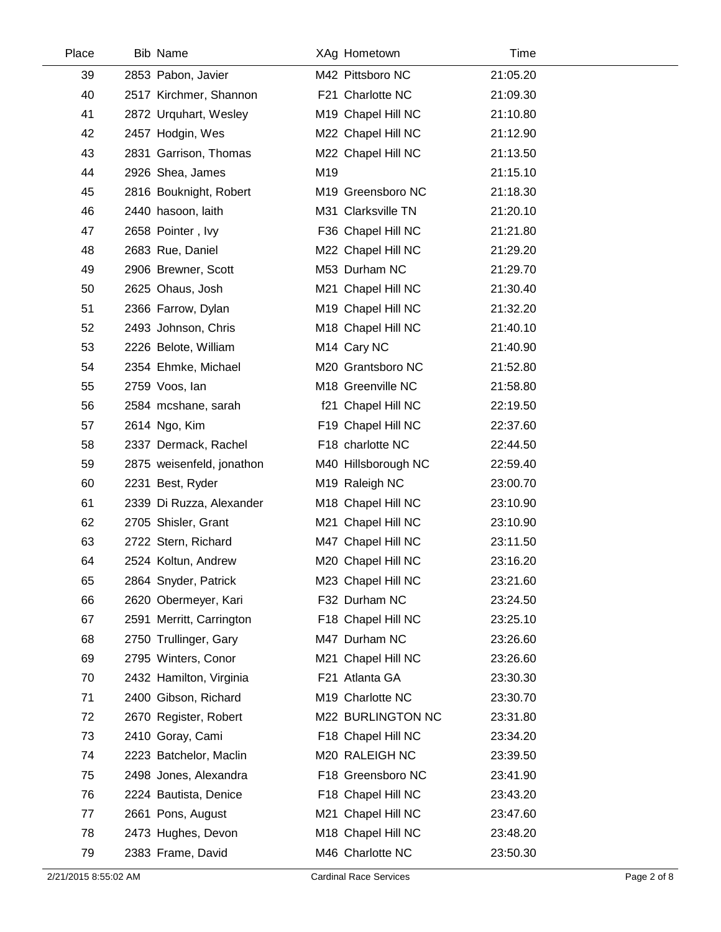| Place | <b>Bib Name</b>           | XAg Hometown            | Time     |  |
|-------|---------------------------|-------------------------|----------|--|
| 39    | 2853 Pabon, Javier        | M42 Pittsboro NC        | 21:05.20 |  |
| 40    | 2517 Kirchmer, Shannon    | F21 Charlotte NC        | 21:09.30 |  |
| 41    | 2872 Urquhart, Wesley     | M19 Chapel Hill NC      | 21:10.80 |  |
| 42    | 2457 Hodgin, Wes          | M22 Chapel Hill NC      | 21:12.90 |  |
| 43    | 2831 Garrison, Thomas     | M22 Chapel Hill NC      | 21:13.50 |  |
| 44    | 2926 Shea, James          | M19                     | 21:15.10 |  |
| 45    | 2816 Bouknight, Robert    | M19 Greensboro NC       | 21:18.30 |  |
| 46    | 2440 hasoon, laith        | M31 Clarksville TN      | 21:20.10 |  |
| 47    | 2658 Pointer, Ivy         | F36 Chapel Hill NC      | 21:21.80 |  |
| 48    | 2683 Rue, Daniel          | M22 Chapel Hill NC      | 21:29.20 |  |
| 49    | 2906 Brewner, Scott       | M53 Durham NC           | 21:29.70 |  |
| 50    | 2625 Ohaus, Josh          | M21 Chapel Hill NC      | 21:30.40 |  |
| 51    | 2366 Farrow, Dylan        | M19 Chapel Hill NC      | 21:32.20 |  |
| 52    | 2493 Johnson, Chris       | M18 Chapel Hill NC      | 21:40.10 |  |
| 53    | 2226 Belote, William      | M <sub>14</sub> Cary NC | 21:40.90 |  |
| 54    | 2354 Ehmke, Michael       | M20 Grantsboro NC       | 21:52.80 |  |
| 55    | 2759 Voos, lan            | M18 Greenville NC       | 21:58.80 |  |
| 56    | 2584 mcshane, sarah       | f21 Chapel Hill NC      | 22:19.50 |  |
| 57    | 2614 Ngo, Kim             | F19 Chapel Hill NC      | 22:37.60 |  |
| 58    | 2337 Dermack, Rachel      | F18 charlotte NC        | 22:44.50 |  |
| 59    | 2875 weisenfeld, jonathon | M40 Hillsborough NC     | 22:59.40 |  |
| 60    | 2231 Best, Ryder          | M19 Raleigh NC          | 23:00.70 |  |
| 61    | 2339 Di Ruzza, Alexander  | M18 Chapel Hill NC      | 23:10.90 |  |
| 62    | 2705 Shisler, Grant       | M21 Chapel Hill NC      | 23:10.90 |  |
| 63    | 2722 Stern, Richard       | M47 Chapel Hill NC      | 23:11.50 |  |
| 64    | 2524 Koltun, Andrew       | M20 Chapel Hill NC      | 23:16.20 |  |
| 65    | 2864 Snyder, Patrick      | M23 Chapel Hill NC      | 23:21.60 |  |
| 66    | 2620 Obermeyer, Kari      | F32 Durham NC           | 23:24.50 |  |
| 67    | 2591 Merritt, Carrington  | F18 Chapel Hill NC      | 23:25.10 |  |
| 68    | 2750 Trullinger, Gary     | M47 Durham NC           | 23:26.60 |  |
| 69    | 2795 Winters, Conor       | M21 Chapel Hill NC      | 23:26.60 |  |
| 70    | 2432 Hamilton, Virginia   | F21 Atlanta GA          | 23:30.30 |  |
| 71    | 2400 Gibson, Richard      | M19 Charlotte NC        | 23:30.70 |  |
| 72    | 2670 Register, Robert     | M22 BURLINGTON NC       | 23:31.80 |  |
| 73    | 2410 Goray, Cami          | F18 Chapel Hill NC      | 23:34.20 |  |
| 74    | 2223 Batchelor, Maclin    | M20 RALEIGH NC          | 23:39.50 |  |
| 75    | 2498 Jones, Alexandra     | F18 Greensboro NC       | 23:41.90 |  |
| 76    | 2224 Bautista, Denice     | F18 Chapel Hill NC      | 23:43.20 |  |
| 77    | 2661 Pons, August         | M21 Chapel Hill NC      | 23:47.60 |  |
| 78    | 2473 Hughes, Devon        | M18 Chapel Hill NC      | 23:48.20 |  |
| 79    | 2383 Frame, David         | M46 Charlotte NC        | 23:50.30 |  |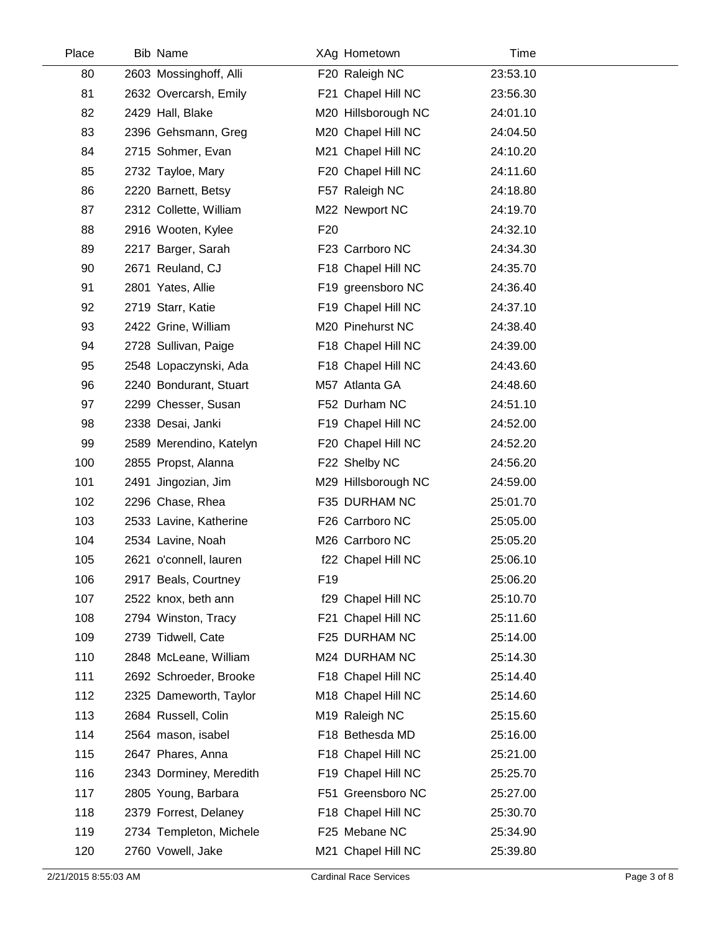| Place | Bib Name                |                 | XAg Hometown        | Time     |
|-------|-------------------------|-----------------|---------------------|----------|
| 80    | 2603 Mossinghoff, Alli  |                 | F20 Raleigh NC      | 23:53.10 |
| 81    | 2632 Overcarsh, Emily   |                 | F21 Chapel Hill NC  | 23:56.30 |
| 82    | 2429 Hall, Blake        |                 | M20 Hillsborough NC | 24:01.10 |
| 83    | 2396 Gehsmann, Greg     |                 | M20 Chapel Hill NC  | 24:04.50 |
| 84    | 2715 Sohmer, Evan       |                 | M21 Chapel Hill NC  | 24:10.20 |
| 85    | 2732 Tayloe, Mary       |                 | F20 Chapel Hill NC  | 24:11.60 |
| 86    | 2220 Barnett, Betsy     |                 | F57 Raleigh NC      | 24:18.80 |
| 87    | 2312 Collette, William  |                 | M22 Newport NC      | 24:19.70 |
| 88    | 2916 Wooten, Kylee      | F <sub>20</sub> |                     | 24:32.10 |
| 89    | 2217 Barger, Sarah      |                 | F23 Carrboro NC     | 24:34.30 |
| 90    | 2671 Reuland, CJ        |                 | F18 Chapel Hill NC  | 24:35.70 |
| 91    | 2801 Yates, Allie       |                 | F19 greensboro NC   | 24:36.40 |
| 92    | 2719 Starr, Katie       |                 | F19 Chapel Hill NC  | 24:37.10 |
| 93    | 2422 Grine, William     |                 | M20 Pinehurst NC    | 24:38.40 |
| 94    | 2728 Sullivan, Paige    |                 | F18 Chapel Hill NC  | 24:39.00 |
| 95    | 2548 Lopaczynski, Ada   |                 | F18 Chapel Hill NC  | 24:43.60 |
| 96    | 2240 Bondurant, Stuart  |                 | M57 Atlanta GA      | 24:48.60 |
| 97    | 2299 Chesser, Susan     |                 | F52 Durham NC       | 24:51.10 |
| 98    | 2338 Desai, Janki       |                 | F19 Chapel Hill NC  | 24:52.00 |
| 99    | 2589 Merendino, Katelyn |                 | F20 Chapel Hill NC  | 24:52.20 |
| 100   | 2855 Propst, Alanna     |                 | F22 Shelby NC       | 24:56.20 |
| 101   | 2491 Jingozian, Jim     |                 | M29 Hillsborough NC | 24:59.00 |
| 102   | 2296 Chase, Rhea        |                 | F35 DURHAM NC       | 25:01.70 |
| 103   | 2533 Lavine, Katherine  |                 | F26 Carrboro NC     | 25:05.00 |
| 104   | 2534 Lavine, Noah       |                 | M26 Carrboro NC     | 25:05.20 |
| 105   | 2621 o'connell, lauren  |                 | f22 Chapel Hill NC  | 25:06.10 |
| 106   | 2917 Beals, Courtney    | F <sub>19</sub> |                     | 25:06.20 |
| 107   | 2522 knox, beth ann     |                 | f29 Chapel Hill NC  | 25:10.70 |
| 108   | 2794 Winston, Tracy     |                 | F21 Chapel Hill NC  | 25:11.60 |
| 109   | 2739 Tidwell, Cate      |                 | F25 DURHAM NC       | 25:14.00 |
| 110   | 2848 McLeane, William   |                 | M24 DURHAM NC       | 25:14.30 |
| 111   | 2692 Schroeder, Brooke  |                 | F18 Chapel Hill NC  | 25:14.40 |
| 112   | 2325 Dameworth, Taylor  |                 | M18 Chapel Hill NC  | 25:14.60 |
| 113   | 2684 Russell, Colin     |                 | M19 Raleigh NC      | 25:15.60 |
| 114   | 2564 mason, isabel      |                 | F18 Bethesda MD     | 25:16.00 |
| 115   | 2647 Phares, Anna       |                 | F18 Chapel Hill NC  | 25:21.00 |
| 116   | 2343 Dorminey, Meredith |                 | F19 Chapel Hill NC  | 25:25.70 |
| 117   | 2805 Young, Barbara     |                 | F51 Greensboro NC   | 25:27.00 |
| 118   | 2379 Forrest, Delaney   |                 | F18 Chapel Hill NC  | 25:30.70 |
| 119   | 2734 Templeton, Michele |                 | F25 Mebane NC       | 25:34.90 |
| 120   | 2760 Vowell, Jake       |                 | M21 Chapel Hill NC  | 25:39.80 |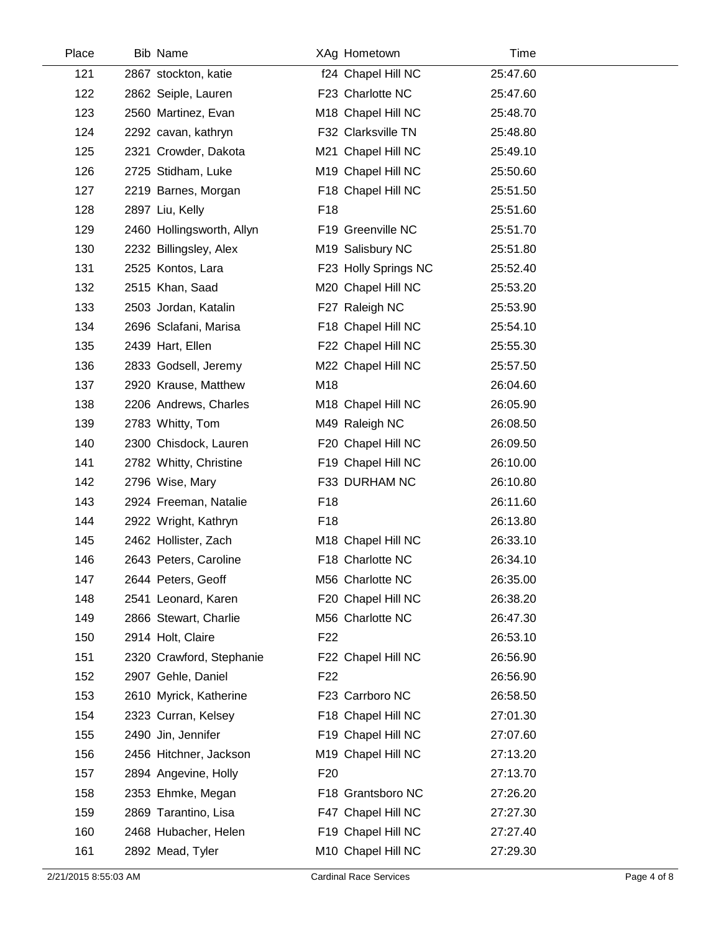| Place | <b>Bib Name</b>           |                 | XAg Hometown         | Time     |  |
|-------|---------------------------|-----------------|----------------------|----------|--|
| 121   | 2867 stockton, katie      |                 | f24 Chapel Hill NC   | 25:47.60 |  |
| 122   | 2862 Seiple, Lauren       |                 | F23 Charlotte NC     | 25:47.60 |  |
| 123   | 2560 Martinez, Evan       |                 | M18 Chapel Hill NC   | 25:48.70 |  |
| 124   | 2292 cavan, kathryn       |                 | F32 Clarksville TN   | 25:48.80 |  |
| 125   | 2321 Crowder, Dakota      |                 | M21 Chapel Hill NC   | 25:49.10 |  |
| 126   | 2725 Stidham, Luke        |                 | M19 Chapel Hill NC   | 25:50.60 |  |
| 127   | 2219 Barnes, Morgan       |                 | F18 Chapel Hill NC   | 25:51.50 |  |
| 128   | 2897 Liu, Kelly           | F <sub>18</sub> |                      | 25:51.60 |  |
| 129   | 2460 Hollingsworth, Allyn |                 | F19 Greenville NC    | 25:51.70 |  |
| 130   | 2232 Billingsley, Alex    |                 | M19 Salisbury NC     | 25:51.80 |  |
| 131   | 2525 Kontos, Lara         |                 | F23 Holly Springs NC | 25:52.40 |  |
| 132   | 2515 Khan, Saad           |                 | M20 Chapel Hill NC   | 25:53.20 |  |
| 133   | 2503 Jordan, Katalin      |                 | F27 Raleigh NC       | 25:53.90 |  |
| 134   | 2696 Sclafani, Marisa     |                 | F18 Chapel Hill NC   | 25:54.10 |  |
| 135   | 2439 Hart, Ellen          |                 | F22 Chapel Hill NC   | 25:55.30 |  |
| 136   | 2833 Godsell, Jeremy      |                 | M22 Chapel Hill NC   | 25:57.50 |  |
| 137   | 2920 Krause, Matthew      | M18             |                      | 26:04.60 |  |
| 138   | 2206 Andrews, Charles     |                 | M18 Chapel Hill NC   | 26:05.90 |  |
| 139   | 2783 Whitty, Tom          |                 | M49 Raleigh NC       | 26:08.50 |  |
| 140   | 2300 Chisdock, Lauren     |                 | F20 Chapel Hill NC   | 26:09.50 |  |
| 141   | 2782 Whitty, Christine    |                 | F19 Chapel Hill NC   | 26:10.00 |  |
| 142   | 2796 Wise, Mary           |                 | F33 DURHAM NC        | 26:10.80 |  |
| 143   | 2924 Freeman, Natalie     | F <sub>18</sub> |                      | 26:11.60 |  |
| 144   | 2922 Wright, Kathryn      | F <sub>18</sub> |                      | 26:13.80 |  |
| 145   | 2462 Hollister, Zach      |                 | M18 Chapel Hill NC   | 26:33.10 |  |
| 146   | 2643 Peters, Caroline     |                 | F18 Charlotte NC     | 26:34.10 |  |
| 147   | 2644 Peters, Geoff        |                 | M56 Charlotte NC     | 26:35.00 |  |
| 148   | 2541 Leonard, Karen       |                 | F20 Chapel Hill NC   | 26:38.20 |  |
| 149   | 2866 Stewart, Charlie     |                 | M56 Charlotte NC     | 26:47.30 |  |
| 150   | 2914 Holt, Claire         | F <sub>22</sub> |                      | 26:53.10 |  |
| 151   | 2320 Crawford, Stephanie  |                 | F22 Chapel Hill NC   | 26:56.90 |  |
| 152   | 2907 Gehle, Daniel        | F <sub>22</sub> |                      | 26:56.90 |  |
| 153   | 2610 Myrick, Katherine    |                 | F23 Carrboro NC      | 26:58.50 |  |
| 154   | 2323 Curran, Kelsey       |                 | F18 Chapel Hill NC   | 27:01.30 |  |
| 155   | 2490 Jin, Jennifer        |                 | F19 Chapel Hill NC   | 27:07.60 |  |
| 156   | 2456 Hitchner, Jackson    |                 | M19 Chapel Hill NC   | 27:13.20 |  |
| 157   | 2894 Angevine, Holly      | F <sub>20</sub> |                      | 27:13.70 |  |
| 158   | 2353 Ehmke, Megan         |                 | F18 Grantsboro NC    | 27:26.20 |  |
| 159   | 2869 Tarantino, Lisa      |                 | F47 Chapel Hill NC   | 27:27.30 |  |
| 160   | 2468 Hubacher, Helen      |                 | F19 Chapel Hill NC   | 27:27.40 |  |
| 161   | 2892 Mead, Tyler          |                 | M10 Chapel Hill NC   | 27:29.30 |  |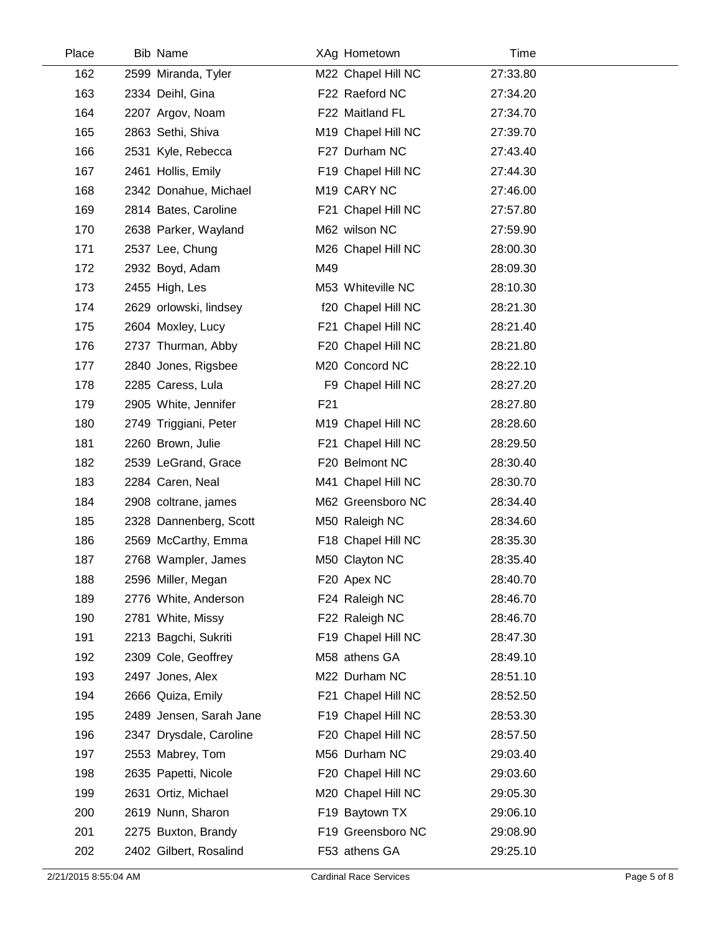| Place | Bib Name                | XAg Hometown       | Time     |  |
|-------|-------------------------|--------------------|----------|--|
| 162   | 2599 Miranda, Tyler     | M22 Chapel Hill NC | 27:33.80 |  |
| 163   | 2334 Deihl, Gina        | F22 Raeford NC     | 27:34.20 |  |
| 164   | 2207 Argov, Noam        | F22 Maitland FL    | 27:34.70 |  |
| 165   | 2863 Sethi, Shiva       | M19 Chapel Hill NC | 27:39.70 |  |
| 166   | 2531 Kyle, Rebecca      | F27 Durham NC      | 27:43.40 |  |
| 167   | 2461 Hollis, Emily      | F19 Chapel Hill NC | 27:44.30 |  |
| 168   | 2342 Donahue, Michael   | M19 CARY NC        | 27:46.00 |  |
| 169   | 2814 Bates, Caroline    | F21 Chapel Hill NC | 27:57.80 |  |
| 170   | 2638 Parker, Wayland    | M62 wilson NC      | 27:59.90 |  |
| 171   | 2537 Lee, Chung         | M26 Chapel Hill NC | 28:00.30 |  |
| 172   | 2932 Boyd, Adam         | M49                | 28:09.30 |  |
| 173   | 2455 High, Les          | M53 Whiteville NC  | 28:10.30 |  |
| 174   | 2629 orlowski, lindsey  | f20 Chapel Hill NC | 28:21.30 |  |
| 175   | 2604 Moxley, Lucy       | F21 Chapel Hill NC | 28:21.40 |  |
| 176   | 2737 Thurman, Abby      | F20 Chapel Hill NC | 28:21.80 |  |
| 177   | 2840 Jones, Rigsbee     | M20 Concord NC     | 28:22.10 |  |
| 178   | 2285 Caress, Lula       | F9 Chapel Hill NC  | 28:27.20 |  |
| 179   | 2905 White, Jennifer    | F <sub>21</sub>    | 28:27.80 |  |
| 180   | 2749 Triggiani, Peter   | M19 Chapel Hill NC | 28:28.60 |  |
| 181   | 2260 Brown, Julie       | F21 Chapel Hill NC | 28:29.50 |  |
| 182   | 2539 LeGrand, Grace     | F20 Belmont NC     | 28:30.40 |  |
| 183   | 2284 Caren, Neal        | M41 Chapel Hill NC | 28:30.70 |  |
| 184   | 2908 coltrane, james    | M62 Greensboro NC  | 28:34.40 |  |
| 185   | 2328 Dannenberg, Scott  | M50 Raleigh NC     | 28:34.60 |  |
| 186   | 2569 McCarthy, Emma     | F18 Chapel Hill NC | 28:35.30 |  |
| 187   | 2768 Wampler, James     | M50 Clayton NC     | 28:35.40 |  |
| 188   | 2596 Miller, Megan      | F20 Apex NC        | 28:40.70 |  |
| 189   | 2776 White, Anderson    | F24 Raleigh NC     | 28:46.70 |  |
| 190   | 2781 White, Missy       | F22 Raleigh NC     | 28:46.70 |  |
| 191   | 2213 Bagchi, Sukriti    | F19 Chapel Hill NC | 28:47.30 |  |
| 192   | 2309 Cole, Geoffrey     | M58 athens GA      | 28:49.10 |  |
| 193   | 2497 Jones, Alex        | M22 Durham NC      | 28:51.10 |  |
| 194   | 2666 Quiza, Emily       | F21 Chapel Hill NC | 28:52.50 |  |
| 195   | 2489 Jensen, Sarah Jane | F19 Chapel Hill NC | 28:53.30 |  |
| 196   | 2347 Drysdale, Caroline | F20 Chapel Hill NC | 28:57.50 |  |
| 197   | 2553 Mabrey, Tom        | M56 Durham NC      | 29:03.40 |  |
| 198   | 2635 Papetti, Nicole    | F20 Chapel Hill NC | 29:03.60 |  |
| 199   | 2631 Ortiz, Michael     | M20 Chapel Hill NC | 29:05.30 |  |
| 200   | 2619 Nunn, Sharon       | F19 Baytown TX     | 29:06.10 |  |
| 201   | 2275 Buxton, Brandy     | F19 Greensboro NC  | 29:08.90 |  |
| 202   | 2402 Gilbert, Rosalind  | F53 athens GA      | 29:25.10 |  |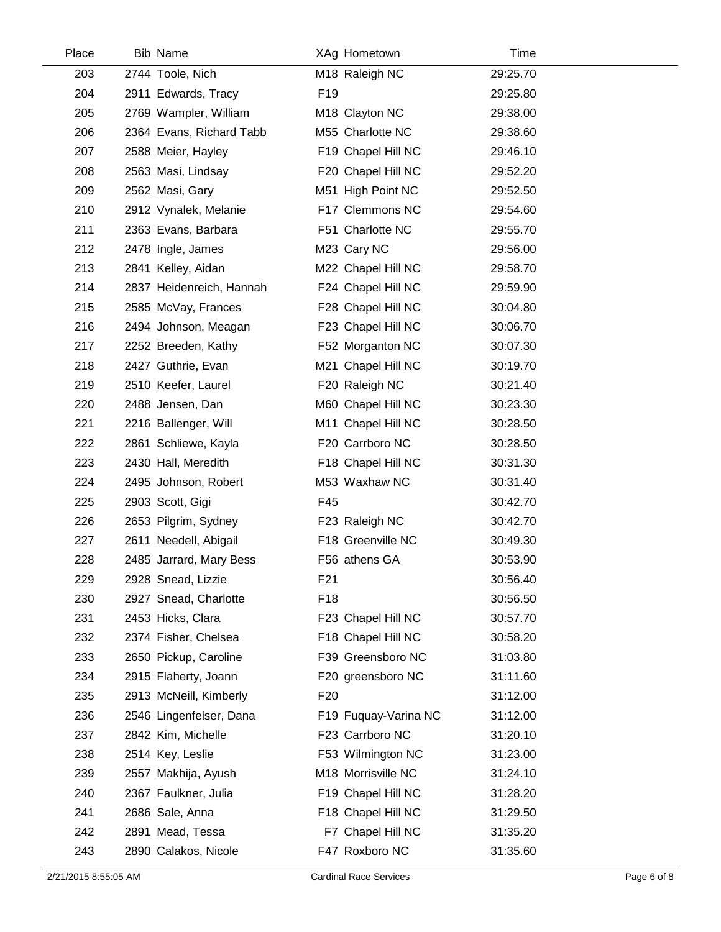| Place | <b>Bib Name</b>          |                  | XAg Hometown         | Time     |
|-------|--------------------------|------------------|----------------------|----------|
| 203   | 2744 Toole, Nich         |                  | M18 Raleigh NC       | 29:25.70 |
| 204   | 2911 Edwards, Tracy      | F19              |                      | 29:25.80 |
| 205   | 2769 Wampler, William    |                  | M18 Clayton NC       | 29:38.00 |
| 206   | 2364 Evans, Richard Tabb |                  | M55 Charlotte NC     | 29:38.60 |
| 207   | 2588 Meier, Hayley       |                  | F19 Chapel Hill NC   | 29:46.10 |
| 208   | 2563 Masi, Lindsay       |                  | F20 Chapel Hill NC   | 29:52.20 |
| 209   | 2562 Masi, Gary          |                  | M51 High Point NC    | 29:52.50 |
| 210   | 2912 Vynalek, Melanie    |                  | F17 Clemmons NC      | 29:54.60 |
| 211   | 2363 Evans, Barbara      |                  | F51 Charlotte NC     | 29:55.70 |
| 212   | 2478 Ingle, James        |                  | M23 Cary NC          | 29:56.00 |
| 213   | 2841 Kelley, Aidan       |                  | M22 Chapel Hill NC   | 29:58.70 |
| 214   | 2837 Heidenreich, Hannah |                  | F24 Chapel Hill NC   | 29:59.90 |
| 215   | 2585 McVay, Frances      |                  | F28 Chapel Hill NC   | 30:04.80 |
| 216   | 2494 Johnson, Meagan     |                  | F23 Chapel Hill NC   | 30:06.70 |
| 217   | 2252 Breeden, Kathy      |                  | F52 Morganton NC     | 30:07.30 |
| 218   | 2427 Guthrie, Evan       |                  | M21 Chapel Hill NC   | 30:19.70 |
| 219   | 2510 Keefer, Laurel      |                  | F20 Raleigh NC       | 30:21.40 |
| 220   | 2488 Jensen, Dan         |                  | M60 Chapel Hill NC   | 30:23.30 |
| 221   | 2216 Ballenger, Will     |                  | M11 Chapel Hill NC   | 30:28.50 |
| 222   | 2861 Schliewe, Kayla     |                  | F20 Carrboro NC      | 30:28.50 |
| 223   | 2430 Hall, Meredith      |                  | F18 Chapel Hill NC   | 30:31.30 |
| 224   | 2495 Johnson, Robert     |                  | M53 Waxhaw NC        | 30:31.40 |
| 225   | 2903 Scott, Gigi         | F45              |                      | 30:42.70 |
| 226   | 2653 Pilgrim, Sydney     |                  | F23 Raleigh NC       | 30:42.70 |
| 227   | 2611 Needell, Abigail    |                  | F18 Greenville NC    | 30:49.30 |
| 228   | 2485 Jarrard, Mary Bess  |                  | F56 athens GA        | 30:53.90 |
| 229   | 2928 Snead, Lizzie       | F <sub>2</sub> 1 |                      | 30:56.40 |
| 230   | 2927 Snead, Charlotte    | F <sub>18</sub>  |                      | 30:56.50 |
| 231   | 2453 Hicks, Clara        |                  | F23 Chapel Hill NC   | 30:57.70 |
| 232   | 2374 Fisher, Chelsea     |                  | F18 Chapel Hill NC   | 30:58.20 |
| 233   | 2650 Pickup, Caroline    |                  | F39 Greensboro NC    | 31:03.80 |
| 234   | 2915 Flaherty, Joann     |                  | F20 greensboro NC    | 31:11.60 |
| 235   | 2913 McNeill, Kimberly   | F <sub>20</sub>  |                      | 31:12.00 |
| 236   | 2546 Lingenfelser, Dana  |                  | F19 Fuquay-Varina NC | 31:12.00 |
| 237   | 2842 Kim, Michelle       |                  | F23 Carrboro NC      | 31:20.10 |
| 238   | 2514 Key, Leslie         |                  | F53 Wilmington NC    | 31:23.00 |
| 239   | 2557 Makhija, Ayush      |                  | M18 Morrisville NC   | 31:24.10 |
| 240   | 2367 Faulkner, Julia     |                  | F19 Chapel Hill NC   | 31:28.20 |
| 241   | 2686 Sale, Anna          |                  | F18 Chapel Hill NC   | 31:29.50 |
| 242   | 2891 Mead, Tessa         |                  | F7 Chapel Hill NC    | 31:35.20 |
| 243   | 2890 Calakos, Nicole     |                  | F47 Roxboro NC       | 31:35.60 |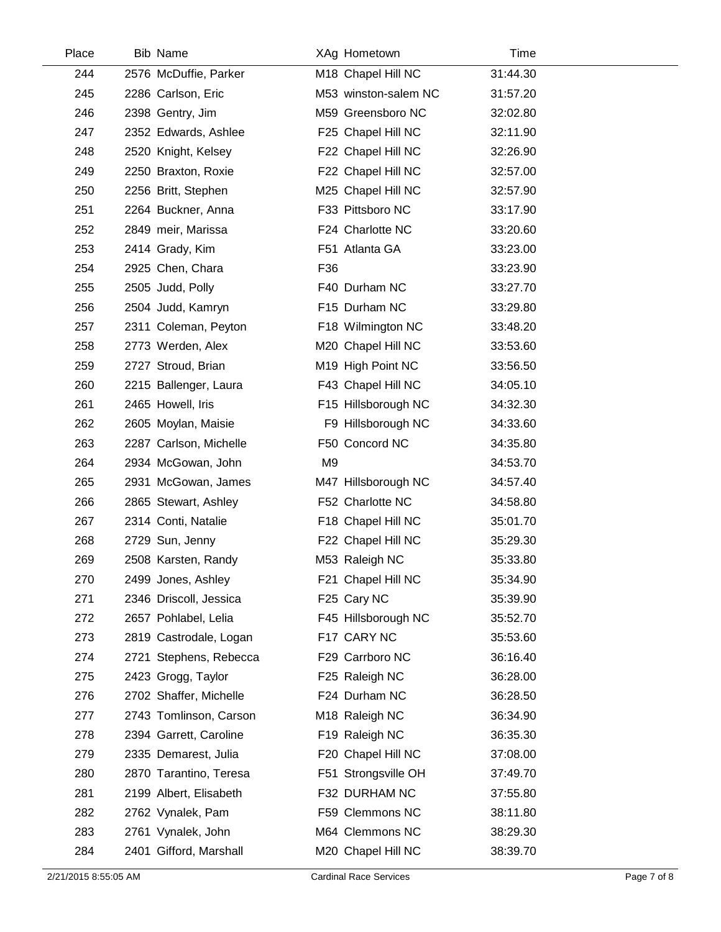| Place | <b>Bib Name</b>        | XAg Hometown         | Time     |  |
|-------|------------------------|----------------------|----------|--|
| 244   | 2576 McDuffie, Parker  | M18 Chapel Hill NC   | 31:44.30 |  |
| 245   | 2286 Carlson, Eric     | M53 winston-salem NC | 31:57.20 |  |
| 246   | 2398 Gentry, Jim       | M59 Greensboro NC    | 32:02.80 |  |
| 247   | 2352 Edwards, Ashlee   | F25 Chapel Hill NC   | 32:11.90 |  |
| 248   | 2520 Knight, Kelsey    | F22 Chapel Hill NC   | 32:26.90 |  |
| 249   | 2250 Braxton, Roxie    | F22 Chapel Hill NC   | 32:57.00 |  |
| 250   | 2256 Britt, Stephen    | M25 Chapel Hill NC   | 32:57.90 |  |
| 251   | 2264 Buckner, Anna     | F33 Pittsboro NC     | 33:17.90 |  |
| 252   | 2849 meir, Marissa     | F24 Charlotte NC     | 33:20.60 |  |
| 253   | 2414 Grady, Kim        | F51 Atlanta GA       | 33:23.00 |  |
| 254   | 2925 Chen, Chara       | F36                  | 33:23.90 |  |
| 255   | 2505 Judd, Polly       | F40 Durham NC        | 33:27.70 |  |
| 256   | 2504 Judd, Kamryn      | F15 Durham NC        | 33:29.80 |  |
| 257   | 2311 Coleman, Peyton   | F18 Wilmington NC    | 33:48.20 |  |
| 258   | 2773 Werden, Alex      | M20 Chapel Hill NC   | 33:53.60 |  |
| 259   | 2727 Stroud, Brian     | M19 High Point NC    | 33:56.50 |  |
| 260   | 2215 Ballenger, Laura  | F43 Chapel Hill NC   | 34:05.10 |  |
| 261   | 2465 Howell, Iris      | F15 Hillsborough NC  | 34:32.30 |  |
| 262   | 2605 Moylan, Maisie    | F9 Hillsborough NC   | 34:33.60 |  |
| 263   | 2287 Carlson, Michelle | F50 Concord NC       | 34:35.80 |  |
| 264   | 2934 McGowan, John     | M <sub>9</sub>       | 34:53.70 |  |
| 265   | 2931 McGowan, James    | M47 Hillsborough NC  | 34:57.40 |  |
| 266   | 2865 Stewart, Ashley   | F52 Charlotte NC     | 34:58.80 |  |
| 267   | 2314 Conti, Natalie    | F18 Chapel Hill NC   | 35:01.70 |  |
| 268   | 2729 Sun, Jenny        | F22 Chapel Hill NC   | 35:29.30 |  |
| 269   | 2508 Karsten, Randy    | M53 Raleigh NC       | 35:33.80 |  |
| 270   | 2499 Jones, Ashley     | F21 Chapel Hill NC   | 35:34.90 |  |
| 271   | 2346 Driscoll, Jessica | F25 Cary NC          | 35:39.90 |  |
| 272   | 2657 Pohlabel, Lelia   | F45 Hillsborough NC  | 35:52.70 |  |
| 273   | 2819 Castrodale, Logan | F17 CARY NC          | 35:53.60 |  |
| 274   | 2721 Stephens, Rebecca | F29 Carrboro NC      | 36:16.40 |  |
| 275   | 2423 Grogg, Taylor     | F25 Raleigh NC       | 36:28.00 |  |
| 276   | 2702 Shaffer, Michelle | F24 Durham NC        | 36:28.50 |  |
| 277   | 2743 Tomlinson, Carson | M18 Raleigh NC       | 36:34.90 |  |
| 278   | 2394 Garrett, Caroline | F19 Raleigh NC       | 36:35.30 |  |
| 279   | 2335 Demarest, Julia   | F20 Chapel Hill NC   | 37:08.00 |  |
| 280   | 2870 Tarantino, Teresa | F51 Strongsville OH  | 37:49.70 |  |
| 281   | 2199 Albert, Elisabeth | F32 DURHAM NC        | 37:55.80 |  |
| 282   | 2762 Vynalek, Pam      | F59 Clemmons NC      | 38:11.80 |  |
| 283   | 2761 Vynalek, John     | M64 Clemmons NC      | 38:29.30 |  |
| 284   | 2401 Gifford, Marshall | M20 Chapel Hill NC   | 38:39.70 |  |